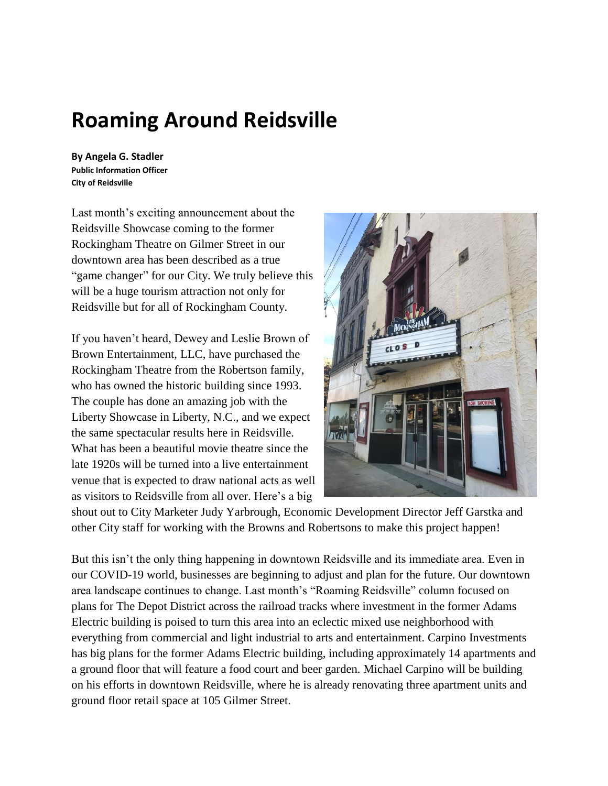## **Roaming Around Reidsville**

**By Angela G. Stadler Public Information Officer City of Reidsville**

Last month's exciting announcement about the Reidsville Showcase coming to the former Rockingham Theatre on Gilmer Street in our downtown area has been described as a true "game changer" for our City. We truly believe this will be a huge tourism attraction not only for Reidsville but for all of Rockingham County.

If you haven't heard, Dewey and Leslie Brown of Brown Entertainment, LLC, have purchased the Rockingham Theatre from the Robertson family, who has owned the historic building since 1993. The couple has done an amazing job with the Liberty Showcase in Liberty, N.C., and we expect the same spectacular results here in Reidsville. What has been a beautiful movie theatre since the late 1920s will be turned into a live entertainment venue that is expected to draw national acts as well as visitors to Reidsville from all over. Here's a big



shout out to City Marketer Judy Yarbrough, Economic Development Director Jeff Garstka and other City staff for working with the Browns and Robertsons to make this project happen!

But this isn't the only thing happening in downtown Reidsville and its immediate area. Even in our COVID-19 world, businesses are beginning to adjust and plan for the future. Our downtown area landscape continues to change. Last month's "Roaming Reidsville" column focused on plans for The Depot District across the railroad tracks where investment in the former Adams Electric building is poised to turn this area into an eclectic mixed use neighborhood with everything from commercial and light industrial to arts and entertainment. Carpino Investments has big plans for the former Adams Electric building, including approximately 14 apartments and a ground floor that will feature a food court and beer garden. Michael Carpino will be building on his efforts in downtown Reidsville, where he is already renovating three apartment units and ground floor retail space at 105 Gilmer Street.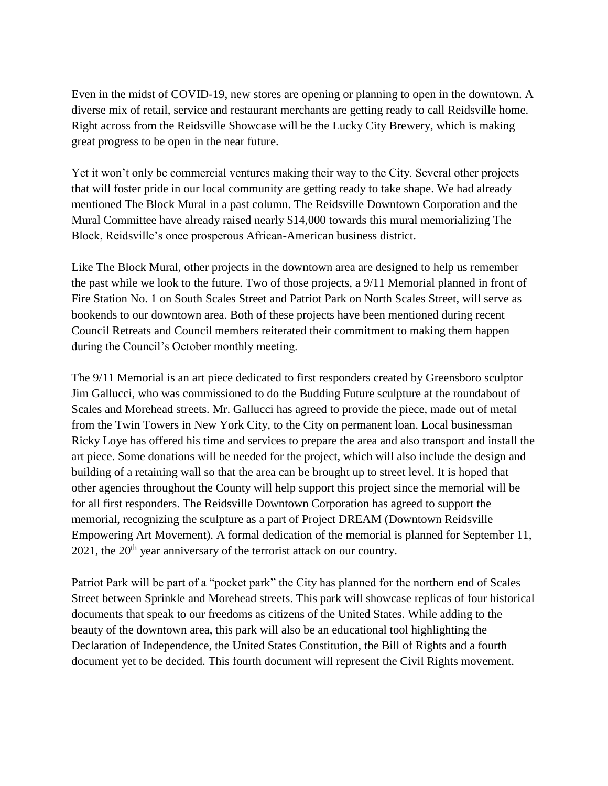Even in the midst of COVID-19, new stores are opening or planning to open in the downtown. A diverse mix of retail, service and restaurant merchants are getting ready to call Reidsville home. Right across from the Reidsville Showcase will be the Lucky City Brewery, which is making great progress to be open in the near future.

Yet it won't only be commercial ventures making their way to the City. Several other projects that will foster pride in our local community are getting ready to take shape. We had already mentioned The Block Mural in a past column. The Reidsville Downtown Corporation and the Mural Committee have already raised nearly \$14,000 towards this mural memorializing The Block, Reidsville's once prosperous African-American business district.

Like The Block Mural, other projects in the downtown area are designed to help us remember the past while we look to the future. Two of those projects, a 9/11 Memorial planned in front of Fire Station No. 1 on South Scales Street and Patriot Park on North Scales Street, will serve as bookends to our downtown area. Both of these projects have been mentioned during recent Council Retreats and Council members reiterated their commitment to making them happen during the Council's October monthly meeting.

The 9/11 Memorial is an art piece dedicated to first responders created by Greensboro sculptor Jim Gallucci, who was commissioned to do the Budding Future sculpture at the roundabout of Scales and Morehead streets. Mr. Gallucci has agreed to provide the piece, made out of metal from the Twin Towers in New York City, to the City on permanent loan. Local businessman Ricky Loye has offered his time and services to prepare the area and also transport and install the art piece. Some donations will be needed for the project, which will also include the design and building of a retaining wall so that the area can be brought up to street level. It is hoped that other agencies throughout the County will help support this project since the memorial will be for all first responders. The Reidsville Downtown Corporation has agreed to support the memorial, recognizing the sculpture as a part of Project DREAM (Downtown Reidsville Empowering Art Movement). A formal dedication of the memorial is planned for September 11,  $2021$ , the  $20<sup>th</sup>$  year anniversary of the terrorist attack on our country.

Patriot Park will be part of a "pocket park" the City has planned for the northern end of Scales Street between Sprinkle and Morehead streets. This park will showcase replicas of four historical documents that speak to our freedoms as citizens of the United States. While adding to the beauty of the downtown area, this park will also be an educational tool highlighting the Declaration of Independence, the United States Constitution, the Bill of Rights and a fourth document yet to be decided. This fourth document will represent the Civil Rights movement.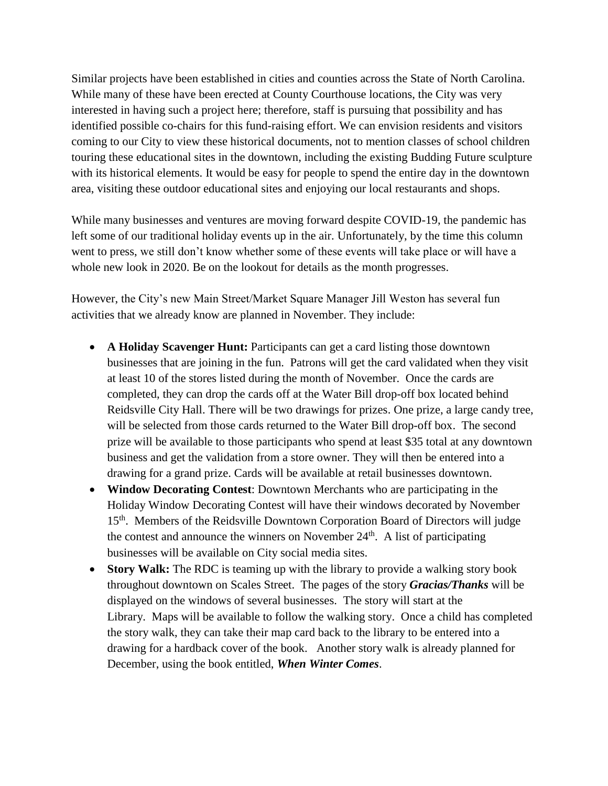Similar projects have been established in cities and counties across the State of North Carolina. While many of these have been erected at County Courthouse locations, the City was very interested in having such a project here; therefore, staff is pursuing that possibility and has identified possible co-chairs for this fund-raising effort. We can envision residents and visitors coming to our City to view these historical documents, not to mention classes of school children touring these educational sites in the downtown, including the existing Budding Future sculpture with its historical elements. It would be easy for people to spend the entire day in the downtown area, visiting these outdoor educational sites and enjoying our local restaurants and shops.

While many businesses and ventures are moving forward despite COVID-19, the pandemic has left some of our traditional holiday events up in the air. Unfortunately, by the time this column went to press, we still don't know whether some of these events will take place or will have a whole new look in 2020. Be on the lookout for details as the month progresses.

However, the City's new Main Street/Market Square Manager Jill Weston has several fun activities that we already know are planned in November. They include:

- **A Holiday Scavenger Hunt:** Participants can get a card listing those downtown businesses that are joining in the fun. Patrons will get the card validated when they visit at least 10 of the stores listed during the month of November. Once the cards are completed, they can drop the cards off at the Water Bill drop-off box located behind Reidsville City Hall. There will be two drawings for prizes. One prize, a large candy tree, will be selected from those cards returned to the Water Bill drop-off box. The second prize will be available to those participants who spend at least \$35 total at any downtown business and get the validation from a store owner. They will then be entered into a drawing for a grand prize. Cards will be available at retail businesses downtown.
- **Window Decorating Contest**: Downtown Merchants who are participating in the Holiday Window Decorating Contest will have their windows decorated by November 15<sup>th</sup>. Members of the Reidsville Downtown Corporation Board of Directors will judge the contest and announce the winners on November 24<sup>th</sup>. A list of participating businesses will be available on City social media sites.
- **Story Walk:** The RDC is teaming up with the library to provide a walking story book throughout downtown on Scales Street. The pages of the story *Gracias/Thanks* will be displayed on the windows of several businesses. The story will start at the Library. Maps will be available to follow the walking story. Once a child has completed the story walk, they can take their map card back to the library to be entered into a drawing for a hardback cover of the book. Another story walk is already planned for December, using the book entitled, *When Winter Comes*.